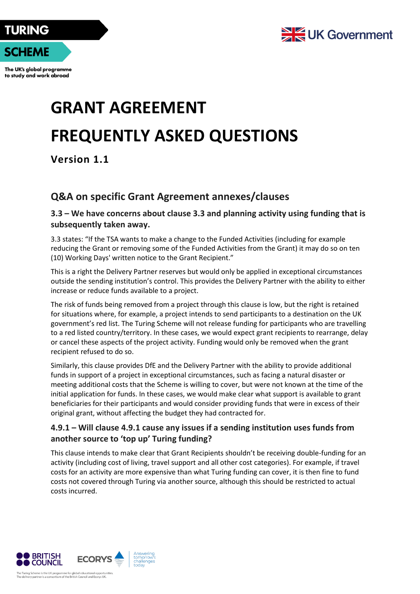

The UK's global programme to study and work abroad



## **GRANT AGREEMENT FREQUENTLY ASKED QUESTIONS**

**Version 1.1**

## **Q&A on specific Grant Agreement annexes/clauses**

**3.3 – We have concerns about clause 3.3 and planning activity using funding that is subsequently taken away.**

3.3 states: "If the TSA wants to make a change to the Funded Activities (including for example reducing the Grant or removing some of the Funded Activities from the Grant) it may do so on ten (10) Working Days' written notice to the Grant Recipient."

This is a right the Delivery Partner reserves but would only be applied in exceptional circumstances outside the sending institution's control. This provides the Delivery Partner with the ability to either increase or reduce funds available to a project.

The risk of funds being removed from a project through this clause is low, but the right is retained for situations where, for example, a project intends to send participants to a destination on the UK government's red list. The Turing Scheme will not release funding for participants who are travelling to a red listed country/territory. In these cases, we would expect grant recipients to rearrange, delay or cancel these aspects of the project activity. Funding would only be removed when the grant recipient refused to do so.

Similarly, this clause provides DfE and the Delivery Partner with the ability to provide additional funds in support of a project in exceptional circumstances, such as facing a natural disaster or meeting additional costs that the Scheme is willing to cover, but were not known at the time of the initial application for funds. In these cases, we would make clear what support is available to grant beneficiaries for their participants and would consider providing funds that were in excess of their original grant, without affecting the budget they had contracted for.

## **4.9.1 – Will clause 4.9.1 cause any issues if a sending institution uses funds from another source to 'top up' Turing funding?**

This clause intends to make clear that Grant Recipients shouldn't be receiving double-funding for an activity (including cost of living, travel support and all other cost categories). For example, if travel costs for an activity are more expensive than what Turing funding can cover, it is then fine to fund costs not covered through Turing via another source, although this should be restricted to actual costs incurred.